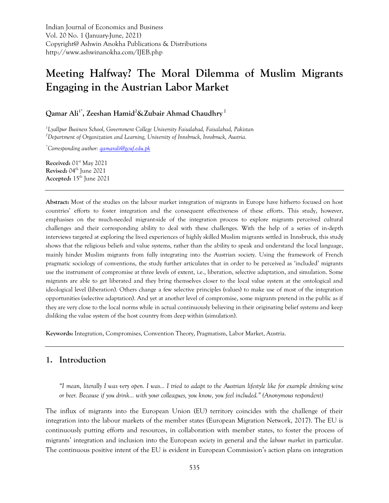Indian Journal of Economics and Business Vol. 20 No. 1 (January-June, 2021) Copyright@ Ashwin Anokha Publications & Distributions http://www.ashwinanokha.com/IJEB.php

# **Meeting Halfway? The Moral Dilemma of Muslim Migrants Engaging in the Austrian Labor Market**

**Qamar Ali1\* , Zeeshan Hamid<sup>2</sup>&Zubair Ahmad Chaudhry <sup>2</sup>**

*<sup>1</sup>Lyallpur Business School, Government College University Faisalabad, Faisalabad, Pakistan <sup>2</sup>Department of Organization and Learning, University of Innsbruck, Innsbruck, Austria.*

*\*Corresponding author[: qamarali@gcuf.edu.pk](mailto:qamarali@gcuf.edu.pk)*

**Received:** 01<sup>st</sup> May 2021 **Revised:** 04th June 2021 **Accepted:** 15th June 2021

**Abstract:** Most of the studies on the labour market integration of migrants in Europe have hitherto focused on host countries' efforts to foster integration and the consequent effectiveness of these efforts. This study, however, emphasises on the much-needed migrant-side of the integration process to explore migrants perceived cultural challenges and their corresponding ability to deal with these challenges. With the help of a series of in-depth interviews targeted at exploring the lived experiences of highly skilled Muslim migrants settled in Innsbruck, this study shows that the religious beliefs and value systems, rather than the ability to speak and understand the local language, mainly hinder Muslim migrants from fully integrating into the Austrian society. Using the framework of French pragmatic sociology of conventions, the study further articulates that in order to be perceived as 'included' migrants use the instrument of compromise at three levels of extent, i.e., liberation, selective adaptation, and simulation. Some migrants are able to get liberated and they bring themselves closer to the local value system at the ontological and ideological level (liberation). Others change a few selective principles (values) to make use of most of the integration opportunities (selective adaptation). And yet at another level of compromise, some migrants pretend in the public as if they are very close to the local norms while in actual continuously believing in their originating belief systems and keep disliking the value system of the host country from deep within (simulation).

**Keywords:** Integration, Compromises, Convention Theory, Pragmatism, Labor Market, Austria.

## **1. Introduction**

"I mean, literally I was very open. I was... I tried to adapt to the Austrian lifestyle like for example drinking wine *or beer. Because if you drink… with your colleagues, you know, you feel included." (Anonymous respondent)*

The influx of migrants into the European Union (EU) territory coincides with the challenge of their integration into the labour markets of the member states (European Migration Network, 2017). The EU is continuously putting efforts and resources, in collaboration with member states, to foster the process of migrants' integration and inclusion into the European *society* in general and the *labour market* in particular. The continuous positive intent of the EU is evident in European Commission's action plans on integration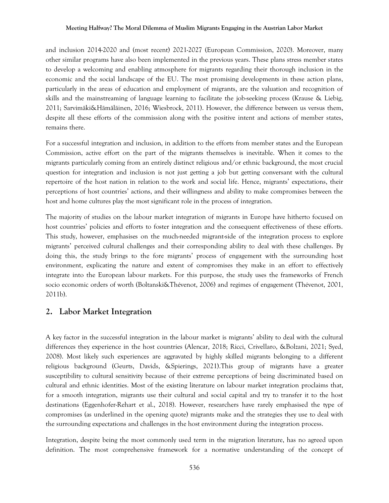and inclusion 2014-2020 and (most recent) 2021-2027 (European Commission, 2020). Moreover, many other similar programs have also been implemented in the previous years. These plans stress member states to develop a welcoming and enabling atmosphere for migrants regarding their thorough inclusion in the economic and the social landscape of the EU. The most promising developments in these action plans, particularly in the areas of education and employment of migrants, are the valuation and recognition of skills and the mainstreaming of language learning to facilitate the job-seeking process (Krause & Liebig, 2011; Sarvimäki&Hämäläinen, 2016; Wiesbrock, 2011). However, the difference between us versus them, despite all these efforts of the commission along with the positive intent and actions of member states, remains there.

For a successful integration and inclusion, in addition to the efforts from member states and the European Commission, active effort on the part of the migrants themselves is inevitable. When it comes to the migrants particularly coming from an entirely distinct religious and/or ethnic background, the most crucial question for integration and inclusion is not just getting a job but getting conversant with the cultural repertoire of the host nation in relation to the work and social life. Hence, migrants' expectations, their perceptions of host countries' actions, and their willingness and ability to make compromises between the host and home cultures play the most significant role in the process of integration.

The majority of studies on the labour market integration of migrants in Europe have hitherto focused on host countries' policies and efforts to foster integration and the consequent effectiveness of these efforts. This study, however, emphasises on the much-needed migrant-side of the integration process to explore migrants' perceived cultural challenges and their corresponding ability to deal with these challenges. By doing this, the study brings to the fore migrants' process of engagement with the surrounding host environment, explicating the nature and extent of compromises they make in an effort to effectively integrate into the European labour markets. For this purpose, the study uses the frameworks of French socio economic orders of worth (Boltanski&Thévenot, 2006) and regimes of engagement (Thévenot, 2001, 2011b).

## **2. Labor Market Integration**

A key factor in the successful integration in the labour market is migrants' ability to deal with the cultural differences they experience in the host countries (Alencar, 2018; Ricci, Crivellaro, &Bolzani, 2021; Syed, 2008). Most likely such experiences are aggravated by highly skilled migrants belonging to a different religious background (Geurts, Davids, &Spierings, 2021).This group of migrants have a greater susceptibility to cultural sensitivity because of their extreme perceptions of being discriminated based on cultural and ethnic identities. Most of the existing literature on labour market integration proclaims that, for a smooth integration, migrants use their cultural and social capital and try to transfer it to the host destinations (Eggenhofer-Rehart et al., 2018). However, researchers have rarely emphasised the type of compromises (as underlined in the opening quote) migrants make and the strategies they use to deal with the surrounding expectations and challenges in the host environment during the integration process.

Integration, despite being the most commonly used term in the migration literature, has no agreed upon definition. The most comprehensive framework for a normative understanding of the concept of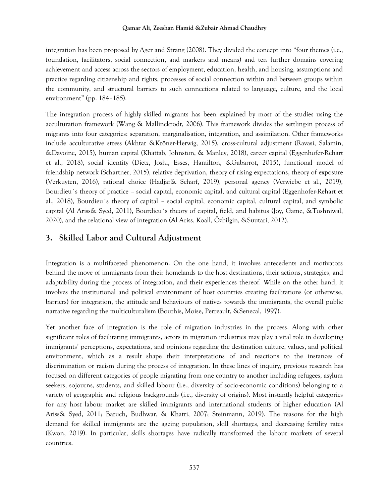integration has been proposed by Ager and Strang (2008). They divided the concept into "four themes (i.e., foundation, facilitators, social connection, and markers and means) and ten further domains covering achievement and access across the sectors of employment, education, health, and housing, assumptions and practice regarding citizenship and rights, processes of social connection within and between groups within the community, and structural barriers to such connections related to language, culture, and the local environment" (pp. 184–185).

The integration process of highly skilled migrants has been explained by most of the studies using the acculturation framework (Wang & Mallinckrodt, 2006). This framework divides the settling-in process of migrants into four categories: separation, marginalisation, integration, and assimilation. Other frameworks include acculturative stress (Akhtar &Kröner-Herwig, 2015), cross-cultural adjustment (Ravasi, Salamin, &Davoine, 2015), human capital (Khattab, Johnston, & Manley, 2018), career capital (Eggenhofer-Rehart et al., 2018), social identity (Dietz, Joshi, Esses, Hamilton, &Gabarrot, 2015), functional model of friendship network (Schartner, 2015), relative deprivation, theory of rising expectations, theory of exposure (Verkuyten, 2016), rational choice (Hadjar& Scharf, 2019), personal agency (Verwiebe et al., 2019), Bourdieu´s theory of practice – social capital, economic capital, and cultural capital (Eggenhofer-Rehart et al., 2018), Bourdieu´s theory of capital – social capital, economic capital, cultural capital, and symbolic capital (Al Ariss& Syed, 2011), Bourdieu´s theory of capital, field, and habitus (Joy, Game, &Toshniwal, 2020), and the relational view of integration (Al Ariss, Koall, Özbilgin, &Suutari, 2012).

## **3. Skilled Labor and Cultural Adjustment**

Integration is a multifaceted phenomenon. On the one hand, it involves antecedents and motivators behind the move of immigrants from their homelands to the host destinations, their actions, strategies, and adaptability during the process of integration, and their experiences thereof. While on the other hand, it involves the institutional and political environment of host countries creating facilitations (or otherwise, barriers) for integration, the attitude and behaviours of natives towards the immigrants, the overall public narrative regarding the multiculturalism (Bourhis, Moise, Perreault, &Senecal, 1997).

Yet another face of integration is the role of migration industries in the process. Along with other significant roles of facilitating immigrants, actors in migration industries may play a vital role in developing immigrants' perceptions, expectations, and opinions regarding the destination culture, values, and political environment, which as a result shape their interpretations of and reactions to the instances of discrimination or racism during the process of integration. In these lines of inquiry, previous research has focused on different categories of people migrating from one country to another including refugees, asylum seekers, sojourns, students, and skilled labour (i.e., diversity of socio-economic conditions) belonging to a variety of geographic and religious backgrounds (i.e., diversity of origins). Most instantly helpful categories for any host labour market are skilled immigrants and international students of higher education (Al Ariss& Syed, 2011; Baruch, Budhwar, & Khatri, 2007; Steinmann, 2019). The reasons for the high demand for skilled immigrants are the ageing population, skill shortages, and decreasing fertility rates (Kwon, 2019). In particular, skills shortages have radically transformed the labour markets of several countries.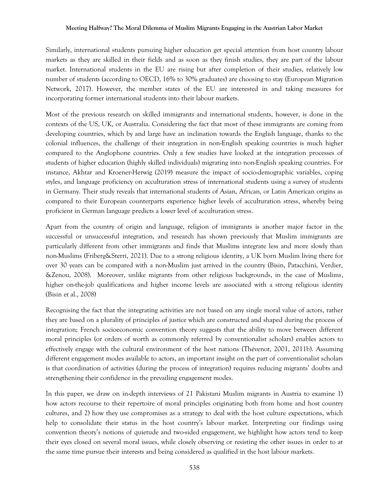Similarly, international students pursuing higher education get special attention from host country labour markets as they are skilled in their fields and as soon as they finish studies, they are part of the labour market. International students in the EU are rising but after completion of their studies, relatively low number of students (according to OECD, 16% to 30% graduates) are choosing to stay (European Migration Network, 2017). However, the member states of the EU are interested in and taking measures for incorporating former international students into their labour markets.

Most of the previous research on skilled immigrants and international students, however, is done in the contexts of the US, UK, or Australia. Considering the fact that most of these immigrants are coming from developing countries, which by and large have an inclination towards the English language, thanks to the colonial influences, the challenge of their integration in non-English speaking countries is much higher compared to the Anglophone countries. Only a few studies have looked at the integration processes of students of higher education (highly skilled individuals) migrating into non-English speaking countries. For instance, Akhtar and Kroener-Herwig (2019) measure the impact of socio-demographic variables, coping styles, and language proficiency on acculturation stress of international students using a survey of students in Germany. Their study reveals that international students of Asian, African, or Latin American origins as compared to their European counterparts experience higher levels of acculturation stress, whereby being proficient in German language predicts a lower level of acculturation stress.

Apart from the country of origin and language, religion of immigrants is another major factor in the successful or unsuccessful integration, and research has shown previously that Muslim immigrants are particularly different from other immigrants and finds that Muslims integrate less and more slowly than non-Muslims (Friberg&Sterri, 2021). Due to a strong religious identity, a UK born Muslim living there for over 30 years can be compared with a non-Muslim just arrived in the country (Bisin, Patacchini, Verdier, &Zenou, 2008). Moreover, unlike migrants from other religious backgrounds, in the case of Muslims, higher on-the-job qualifications and higher income levels are associated with a strong religious identity (Bisin et al., 2008)

Recognising the fact that the integrating activities are not based on any single moral value of actors, rather they are based on a plurality of principles of justice which are constructed and shaped during the process of integration; French socioeconomic convention theory suggests that the ability to move between different moral principles (or orders of worth as commonly referred by conventionalist scholars) enables actors to effectively engage with the cultural environment of the host nations (Thévenot, 2001, 2011b). Assuming different engagement modes available to actors, an important insight on the part of conventionalist scholars is that coordination of activities (during the process of integration) requires reducing migrants' doubts and strengthening their confidence in the prevailing engagement modes.

In this paper, we draw on in-depth interviews of 21 Pakistani Muslim migrants in Austria to examine 1) how actors recourse to their repertoire of moral principles originating both from home and host country cultures, and 2) how they use compromises as a strategy to deal with the host culture expectations, which help to consolidate their status in the host country's labour market. Interpreting our findings using convention theory's notions of quietude and two-sided engagement, we highlight how actors tend to keep their eyes closed on several moral issues, while closely observing or resisting the other issues in order to at the same time pursue their interests and being considered as qualified in the host labour markets.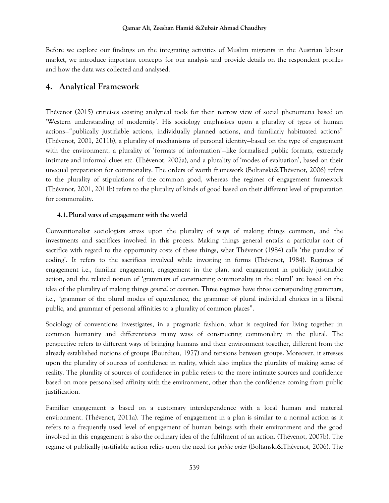Before we explore our findings on the integrating activities of Muslim migrants in the Austrian labour market, we introduce important concepts for our analysis and provide details on the respondent profiles and how the data was collected and analysed.

## **4. Analytical Framework**

Thévenot (2015) criticises existing analytical tools for their narrow view of social phenomena based on 'Western understanding of modernity'. His sociology emphasises upon a plurality of types of human actions—"publically justifiable actions, individually planned actions, and familiarly habituated actions" (Thévenot, 2001, 2011b), a plurality of mechanisms of personal identity—based on the type of engagement with the environment, a plurality of 'formats of information'—like formalised public formats, extremely intimate and informal clues etc. (Thévenot, 2007a), and a plurality of 'modes of evaluation', based on their unequal preparation for commonality. The orders of worth framework (Boltanski&Thévenot, 2006) refers to the plurality of stipulations of the common good, whereas the regimes of engagement framework (Thévenot, 2001, 2011b) refers to the plurality of kinds of good based on their different level of preparation for commonality.

### **4.1.Plural ways of engagement with the world**

Conventionalist sociologists stress upon the plurality of ways of making things common, and the investments and sacrifices involved in this process. Making things general entails a particular sort of sacrifice with regard to the opportunity costs of these things, what Thévenot (1984) calls 'the paradox of coding'. It refers to the sacrifices involved while investing in forms (Thévenot, 1984). Regimes of engagement i.e., familiar engagement, engagement in the plan, and engagement in publicly justifiable action, and the related notion of 'grammars of constructing commonality in the plural' are based on the idea of the plurality of making things *general* or *common*. Three regimes have three corresponding grammars, i.e., "grammar of the plural modes of equivalence, the grammar of plural individual choices in a liberal public, and grammar of personal affinities to a plurality of common places".

Sociology of conventions investigates, in a pragmatic fashion, what is required for living together in common humanity and differentiates many ways of constructing commonality in the plural. The perspective refers to different ways of bringing humans and their environment together, different from the already established notions of groups (Bourdieu, 1977) and tensions between groups. Moreover, it stresses upon the plurality of sources of confidence in reality, which also implies the plurality of making sense of reality. The plurality of sources of confidence in public refers to the more intimate sources and confidence based on more personalised affinity with the environment, other than the confidence coming from public justification.

Familiar engagement is based on a customary interdependence with a local human and material environment. (Thévenot, 2011a). The regime of engagement in a plan is similar to a normal action as it refers to a frequently used level of engagement of human beings with their environment and the good involved in this engagement is also the ordinary idea of the fulfilment of an action. (Thévenot, 2007b). The regime of publically justifiable action relies upon the need for *public order* (Boltanski&Thévenot, 2006). The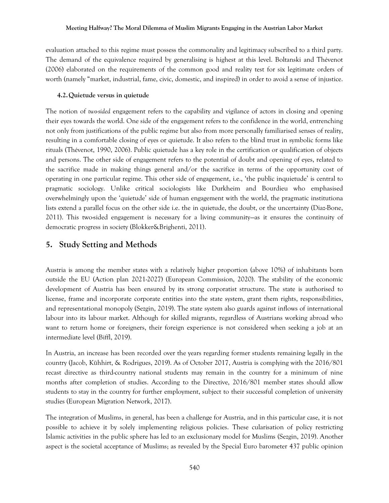evaluation attached to this regime must possess the commonality and legitimacy subscribed to a third party. The demand of the equivalence required by generalising is highest at this level. Boltanski and Thévenot (2006) elaborated on the requirements of the common good and reality test for six legitimate orders of worth (namely "market, industrial, fame, civic, domestic, and inspired) in order to avoid a sense of injustice.

#### **4.2.Quietude versus in quietude**

The notion of *two-sided* engagement refers to the capability and vigilance of actors in closing and opening their eyes towards the world. One side of the engagement refers to the confidence in the world, entrenching not only from justifications of the public regime but also from more personally familiarised senses of reality, resulting in a comfortable closing of eyes or quietude. It also refers to the blind trust in symbolic forms like rituals (Thévenot, 1990, 2006). Public quietude has a key role in the certification or qualification of objects and persons. The other side of engagement refers to the potential of doubt and opening of eyes, related to the sacrifice made in making things general and/or the sacrifice in terms of the opportunity cost of operating in one particular regime. This other side of engagement, i.e., 'the public inquietude' is central to pragmatic sociology. Unlike critical sociologists like Durkheim and Bourdieu who emphasised overwhelmingly upon the 'quietude' side of human engagement with the world, the pragmatic institutiona lists extend a parallel focus on the other side i.e. the in quietude, the doubt, or the uncertainty (Diaz-Bone, 2011). This two-sided engagement is necessary for a living community—as it ensures the continuity of democratic progress in society (Blokker&Brighenti, 2011).

## **5. Study Setting and Methods**

Austria is among the member states with a relatively higher proportion (above 10%) of inhabitants born outside the EU (Action plan 2021-2027) (European Commission, 2020). The stability of the economic development of Austria has been ensured by its strong corporatist structure. The state is authorised to license, frame and incorporate corporate entities into the state system, grant them rights, responsibilities, and representational monopoly (Sezgin, 2019). The state system also guards against inflows of international labour into its labour market. Although for skilled migrants, regardless of Austrians working abroad who want to return home or foreigners, their foreign experience is not considered when seeking a job at an intermediate level (Biffl, 2019).

In Austria, an increase has been recorded over the years regarding former students remaining legally in the country (Jacob, Kühhirt, & Rodrigues, 2019). As of October 2017, Austria is complying with the 2016/801 recast directive as third-country national students may remain in the country for a minimum of nine months after completion of studies. According to the Directive, 2016/801 member states should allow students to stay in the country for further employment, subject to their successful completion of university studies (European Migration Network, 2017).

The integration of Muslims, in general, has been a challenge for Austria, and in this particular case, it is not possible to achieve it by solely implementing religious policies. These cularisation of policy restricting Islamic activities in the public sphere has led to an exclusionary model for Muslims (Sezgin, 2019). Another aspect is the societal acceptance of Muslims; as revealed by the Special Euro barometer 437 public opinion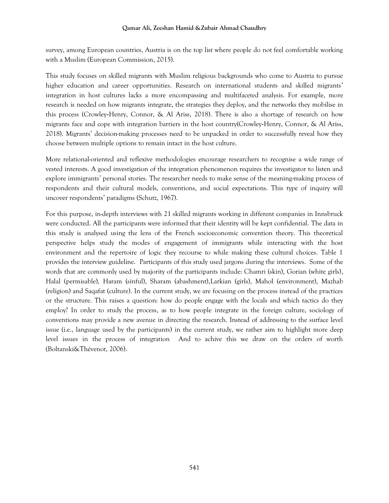survey, among European countries, Austria is on the top list where people do not feel comfortable working with a Muslim (European Commission, 2015).

This study focuses on skilled migrants with Muslim religious backgrounds who come to Austria to pursue higher education and career opportunities. Research on international students and skilled migrants' integration in host cultures lacks a more encompassing and multifaceted analysis. For example, more research is needed on how migrants integrate, the strategies they deploy, and the networks they mobilise in this process (Crowley‐Henry, Connor, & Al Ariss, 2018). There is also a shortage of research on how migrants face and cope with integration barriers in the host country(Crowley‐Henry, Connor, & Al Ariss, 2018). Migrants' decision-making processes need to be unpacked in order to successfully reveal how they choose between multiple options to remain intact in the host culture.

More relational-oriented and reflexive methodologies encourage researchers to recognise a wide range of vested interests. A good investigation of the integration phenomenon requires the investigator to listen and explore immigrants' personal stories. The researcher needs to make sense of the meaning-making process of respondents and their cultural models, conventions, and social expectations. This type of inquiry will uncover respondents' paradigms (Schutz, 1967).

For this purpose, in-depth interviews with 21 skilled migrants working in different companies in Innsbruck were conducted. All the participants were informed that their identity will be kept confidential. The data in this study is analysed using the lens of the French socioeconomic convention theory. This theoretical perspective helps study the modes of engagement of immigrants while interacting with the host environment and the repertoire of logic they recourse to while making these cultural choices. Table 1 provides the interview guideline. Participants of this study used jargons during the interviews. Some of the words that are commonly used by majority of the participants include: Chamri (skin), Gorian (white girls), Halal (permisable), Haram (sinful), Sharam (abashment),Larkian (girls), Mahol (environment), Mazhab (religion) and Saqafat (culture). In the current study, we are focusing on the process instead of the practices or the structure. This raises a question: how do people engage with the locals and which tactics do they employ? In order to study the process, as to how people integrate in the foreign culture, sociology of conventions may provide a new avenue in directing the research. Instead of addressing to the surface level issue (i.e., language used by the participants) in the current study, we rather aim to highlight more deep level issues in the process of integration And to achive this we draw on the orders of worth (Boltanski&Thévenot, 2006).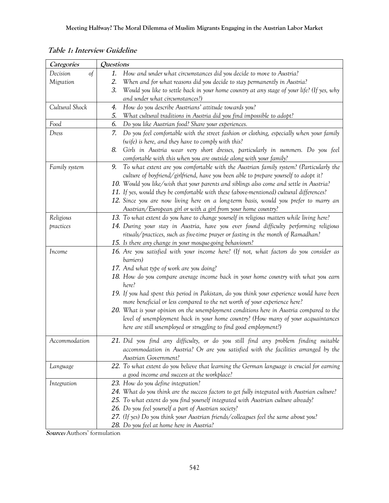| Categories            | Questions                                                                                                                                                                |
|-----------------------|--------------------------------------------------------------------------------------------------------------------------------------------------------------------------|
| Decision<br>$\circ f$ | How and under what circumstances did you decide to move to Austria?<br>1.                                                                                                |
| Migration             | When and for what reasons did you decide to stay permanently in Austria?<br>2.                                                                                           |
|                       | 3.<br>Would you like to settle back in your home country at any stage of your life? (If yes, why                                                                         |
|                       | and under what circumstances?)                                                                                                                                           |
| Cultural Shock        | How do you describe Austrians' attitude towards you?<br>4.                                                                                                               |
|                       | 5.<br>What cultural traditions in Austria did you find impossible to adopt?                                                                                              |
| Food                  | 6.<br>Do you like Austrian food? Share your experiences.                                                                                                                 |
| Dress                 | Do you feel comfortable with the street fashion or clothing, especially when your family<br>7.                                                                           |
|                       | (wife) is here, and they have to comply with this?                                                                                                                       |
|                       | Girls in Austria wear very short dresses, particularly in summers. Do you feel<br>8.                                                                                     |
|                       | comfortable with this when you are outside along with your family?                                                                                                       |
| Family system         | To what extent are you comfortable with the Austrian family system? (Particularly the<br>9.                                                                              |
|                       | culture of boyfriend/girlfriend, have you been able to prepare yourself to adopt it?                                                                                     |
|                       | 10. Would you like/wish that your parents and siblings also come and settle in Austria?                                                                                  |
|                       | 11. If yes, would they be comfortable with these (above-mentioned) cultural differences?                                                                                 |
|                       | 12. Since you are now living here on a long-term basis, would you prefer to marry an                                                                                     |
|                       | Austrian/European girl or with a girl from your home country?                                                                                                            |
| Religious             | 13. To what extent do you have to change yourself in religious matters while living here?                                                                                |
| practices             | 14. During your stay in Austria, have you ever found difficulty performing religious                                                                                     |
|                       | rituals/practices, such as five-time prayer or fasting in the month of Ramadhan?                                                                                         |
|                       | 15. Is there any change in your mosque-going behaviours?                                                                                                                 |
| Income                | 16. Are you satisfied with your income here? (If not, what factors do you consider as                                                                                    |
|                       | barriers)                                                                                                                                                                |
|                       | 17. And what type of work are you doing?                                                                                                                                 |
|                       | 18. How do you compare average income back in your home country with what you earn<br>here?                                                                              |
|                       |                                                                                                                                                                          |
|                       | 19. If you had spent this period in Pakistan, do you think your experience would have been<br>more beneficial or less compared to the net worth of your experience here? |
|                       | 20. What is your opinion on the unemployment conditions here in Austria compared to the                                                                                  |
|                       | level of unemployment back in your home country? (How many of your acquaintances                                                                                         |
|                       | here are still unemployed or struggling to find good employment?)                                                                                                        |
|                       |                                                                                                                                                                          |
| Accommodation         | 21. Did you find any difficulty, or do you still find any problem finding suitable                                                                                       |
|                       | accommodation in Austria? Or are you satisfied with the facilities arranged by the                                                                                       |
|                       | Austrian Government?                                                                                                                                                     |
| Language              | 22. To what extent do you believe that learning the German language is crucial for earning                                                                               |
|                       | a good income and success at the workplace?                                                                                                                              |
| Integration           | 23. How do you define integration?                                                                                                                                       |
|                       | 24. What do you think are the success factors to get fully integrated with Austrian culture?                                                                             |
|                       | 25. To what extent do you find yourself integrated with Austrian culture already?                                                                                        |
|                       | 26. Do you feel yourself a part of Austrian society?                                                                                                                     |
|                       | 27. (If yes) Do you think your Austrian friends/colleagues feel the same about you?                                                                                      |
|                       | 28. Do you feel at home here in Austria?                                                                                                                                 |

**Table 1: Interview Guideline**

**Source:** Authors' formulation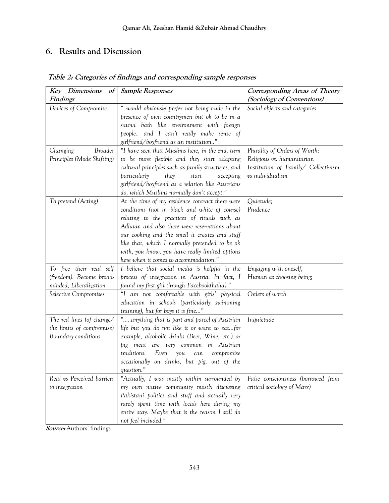## **6. Results and Discussion**

| <b>Key</b> Dimensions<br>$\alpha f$ | <b>Sample Responses</b>                            | Corresponding Areas of Theory       |
|-------------------------------------|----------------------------------------------------|-------------------------------------|
| Findings                            |                                                    | (Sociology of Conventions)          |
| Devices of Compromise:              | "would obviously prefer not being nude in the      | Social objects and categories       |
|                                     | presence of own countrymen but ok to be in a       |                                     |
|                                     | sauna bath like environment with foreign           |                                     |
|                                     | people and I can't really make sense of            |                                     |
|                                     | girlfriend/boyfriend as an institution"            |                                     |
| Broader<br>Changing                 | "I have seen that Muslims here, in the end, turn   | Plurality of Orders of Worth:       |
| Principles (Mode Shifting)          | to be more flexible and they start adapting        | Religious vs. humanitarian          |
|                                     | cultural principles such as family structures, and | Institution of Family/ Collectivism |
|                                     | particularly<br>they<br>start<br>accepting         | vs individualism                    |
|                                     | girlfriend/boyfriend as a relation like Austrians  |                                     |
|                                     | do, which Muslims normally don't accept."          |                                     |
| To pretend (Acting)                 | At the time of my residence contract there were    | Quietude;                           |
|                                     | conditions (not in black and white of course)      | Prudence                            |
|                                     | relating to the practices of rituals such as       |                                     |
|                                     | Adhaan and also there were reservations about      |                                     |
|                                     | our cooking and the smell it creates and stuff     |                                     |
|                                     | like that, which I normally pretended to be ok     |                                     |
|                                     | with, you know, you have really limited options    |                                     |
|                                     | here when it comes to accommodation."              |                                     |
| To free their real self             | I believe that social media is helpful in the      | Engaging with oneself,              |
| (freedom), Become broad-            | process of integration in Austria. In fact, I      | Human as choosing being;            |
| minded, Liberalization              | found my first girl through Facebook(haha)."       |                                     |
| Selective Compromises               | "I am not comfortable with girls' physical         | Orders of worth                     |
|                                     | education in schools (particularly swimming        |                                     |
|                                     | training), but for boys it is fine"                |                                     |
| The red lines (of change/           | "anything that is part and parcel of Austrian      | Inquietude                          |
| the limits of compromise)           | life but you do not like it or want to eatfor      |                                     |
| Boundary conditions                 | example, alcoholic drinks (Beer, Wine, etc.) or    |                                     |
|                                     | pig meat are very common in Austrian               |                                     |
|                                     | traditions.<br>Even<br>you<br>compromise<br>can    |                                     |
|                                     | occasionally on drinks, but pig, out of the        |                                     |
|                                     | question."                                         |                                     |
| Real vs Perceived barriers          | "Actually, I was mostly within surrounded by       | False consciousness (borrowed from  |
| to integration                      | my own native community mostly discussing          | critical sociology of Marx)         |
|                                     | Pakistani politics and stuff and actually very     |                                     |
|                                     | rarely spent time with locals here during my       |                                     |
|                                     | entire stay. Maybe that is the reason I still do   |                                     |
|                                     | not feel included."                                |                                     |

**Table 2: Categories of findings and corresponding sample responses**

**Source:** Authors' findings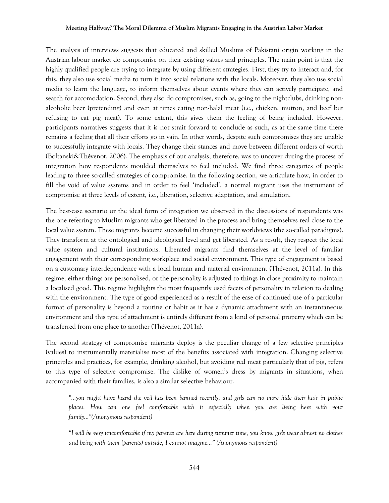The analysis of interviews suggests that educated and skilled Muslims of Pakistani origin working in the Austrian labour market do compromise on their existing values and principles. The main point is that the highly qualified people are trying to integrate by using different strategies. First, they try to interact and, for this, they also use social media to turn it into social relations with the locals. Moreover, they also use social media to learn the language, to inform themselves about events where they can actively participate, and search for accomodation. Second, they also do compromises, such as, going to the nightclubs, drinking nonalcoholic beer (pretending) and even at times eating non-halal meat (i.e., chicken, mutton, and beef but refusing to eat pig meat). To some extent, this gives them the feeling of being included. However, participants narratives suggests that it is not strait forward to conclude as such, as at the same time there remains a feeling that all their efforts go in vain. In other words, despite such compromises they are unable to successfully integrate with locals. They change their stances and move between different orders of worth (Boltanski&Thévenot, 2006). The emphasis of our analysis, therefore, was to uncover during the process of integration how respondents moulded themselves to feel included. We find three categories of people leading to three so-called strategies of compromise. In the following section, we articulate how, in order to fill the void of value systems and in order to feel 'included', a normal migrant uses the instrument of compromise at three levels of extent, i.e., liberation, selective adaptation, and simulation.

The best-case scenario or the ideal form of integration we observed in the discussions of respondents was the one referring to Muslim migrants who get liberated in the process and bring themselves real close to the local value system. These migrants become successful in changing their worldviews (the so-called paradigms). They transform at the ontological and ideological level and get liberated. As a result, they respect the local value system and cultural institutions. Liberated migrants find themselves at the level of familiar engagement with their corresponding workplace and social environment. This type of engagement is based on a customary interdependence with a local human and material environment (Thévenot, 2011a). In this regime, either things are personalised, or the personality is adjusted to things in close proximity to maintain a localised good. This regime highlights the most frequently used facets of personality in relation to dealing with the environment. The type of good experienced as a result of the ease of continued use of a particular format of personality is beyond a routine or habit as it has a dynamic attachment with an instantaneous environment and this type of attachment is entirely different from a kind of personal property which can be transferred from one place to another (Thévenot, 2011a).

The second strategy of compromise migrants deploy is the peculiar change of a few selective principles (values) to instrumentally materialise most of the benefits associated with integration. Changing selective principles and practices, for example, drinking alcohol, but avoiding red meat particularly that of pig, refers to this type of selective compromise. The dislike of women's dress by migrants in situations, when accompanied with their families, is also a similar selective behaviour.

*"…you might have heard the veil has been banned recently, and girls can no more hide their hair in public places. How can one feel comfortable with it especially when you are living here with your family…"(Anonymous respondent)*

*"I will be very uncomfortable if my parents are here during summer time, you know girls wear almost no clothes and being with them (parents) outside, I cannot imagine…" (Anonymous respondent)*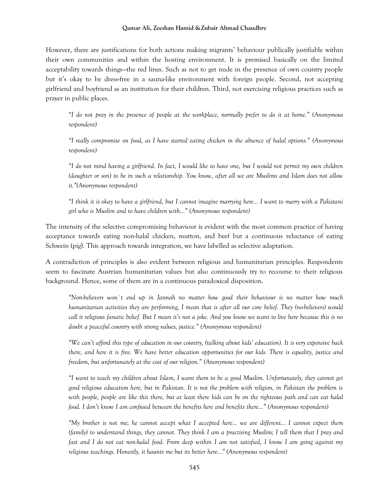However, there are justifications for both actions making migrants' behaviour publically justifiable within their own communities and within the hosting environment. It is premised basically on the limited acceptability towards things—the red lines. Such as not to get nude in the presence of own country people but it's okay to be dress-free in a sauna-like environment with foreign people. Second, not accepting girlfriend and boyfriend as an institution for their children. Third, not exercising religious practices such as prayer in public places.

*"I do not pray in the presence of people at the workplace, normally prefer to do it at home." (Anonymous respondent)*

*"I really compromise on food, as I have started eating chicken in the absence of halal options." (Anonymous respondent)*

*"I do not mind having a girlfriend. In fact, I would like to have one, but I would not permit my own children (daughter or son) to be in such a relationship. You know, after all we are Muslims and Islam does not allow it."(Anonymous respondent)*

*"I think it is okay to have a girlfriend, but I cannot imagine marrying here… I want to marry with a Pakistani girl who is Muslim and to have children with…" (Anonymous respondent)*

The intensity of the selective compromising behaviour is evident with the most common practice of having acceptance towards eating non-halal chicken, mutton, and beef but a continuous reluctance of eating Schwein (pig). This approach towards integration, we have labelled as selective adaptation.

A contradiction of principles is also evident between religious and humanitarian principles. Respondents seem to fascinate Austrian humanitarian values but also continuously try to recourse to their religious background. Hence, some of them are in a continuous paradoxical disposition.

*"Non-believers won´t end up in Jannah no matter how good their behaviour is no matter how much humanitarian activities they are performing, I mean that is after all our core belief. They (no-believers) would call it religious fanatic belief. But I mean it's not a joke. And you know we want to live here because this is no doubt a peaceful country with strong values, justice." (Anonymous respondent)*

*"We can't afford this type of education in our country, (talking about kids' education). It is very expensive back there, and here it is free. We have better education opportunities for our kids. There is equality, justice and freedom, but unfortunately at the cost of our religion." (Anonymous respondent)*

*"I want to teach my children about Islam, I want them to be a good Muslim. Unfortunately, they cannot get good religious education here, but in Pakistan. It is not the problem with religion, in Pakistan the problem is with people, people are like this there, but at least there kids can be on the righteous path and can eat halal food. I don't know I am confused between the benefits here and benefits there…" (Anonymous respondent)*

*"My brother is not me; he cannot accept what I accepted here… we are different… I cannot expect them (family) to understand things, they cannot. They think I am a practising Muslim; I tell them that I pray and fast and I do not eat non-halal food. From deep within I am not satisfied, I know I am going against my religious teachings. Honestly, it haunts me but its better here…" (Anonymous respondent)*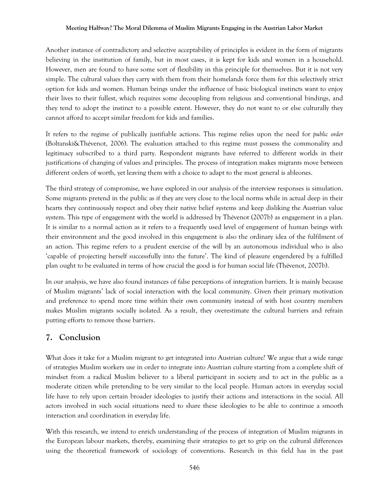Another instance of contradictory and selective acceptability of principles is evident in the form of migrants believing in the institution of family, but in most cases, it is kept for kids and women in a household. However, men are found to have some sort of flexibility in this principle for themselves. But it is not very simple. The cultural values they carry with them from their homelands force them for this selectively strict option for kids and women. Human beings under the influence of basic biological instincts want to enjoy their lives to their fullest, which requires some decoupling from religious and conventional bindings, and they tend to adopt the instinct to a possible extent. However, they do not want to or else culturally they cannot afford to accept similar freedom for kids and families.

It refers to the regime of publically justifiable actions. This regime relies upon the need for *public order* (Boltanski&Thévenot, 2006). The evaluation attached to this regime must possess the commonality and legitimacy subscribed to a third party. Respondent migrants have referred to different worlds in their justifications of changing of values and principles. The process of integration makes migrants move between different orders of worth, yet leaving them with a choice to adapt to the most general is ableones.

The third strategy of compromise, we have explored in our analysis of the interview responses is simulation. Some migrants pretend in the public as if they are very close to the local norms while in actual deep in their hearts they continuously respect and obey their native belief systems and keep disliking the Austrian value system. This type of engagement with the world is addressed by Thévenot (2007b) as engagement in a plan. It is similar to a normal action as it refers to a frequently used level of engagement of human beings with their environment and the good involved in this engagement is also the ordinary idea of the fulfilment of an action. This regime refers to a prudent exercise of the will by an autonomous individual who is also 'capable of projecting herself successfully into the future'. The kind of pleasure engendered by a fulfilled plan ought to be evaluated in terms of how crucial the good is for human social life (Thévenot, 2007b).

In our analysis, we have also found instances of false perceptions of integration barriers. It is mainly because of Muslim migrants' lack of social interaction with the local community. Given their primary motivation and preference to spend more time within their own community instead of with host country members makes Muslim migrants socially isolated. As a result, they overestimate the cultural barriers and refrain putting efforts to remove those barriers.

## **7. Conclusion**

What does it take for a Muslim migrant to get integrated into Austrian culture? We argue that a wide range of strategies Muslim workers use in order to integrate into Austrian culture starting from a complete shift of mindset from a radical Muslim believer to a liberal participant in society and to act in the public as a moderate citizen while pretending to be very similar to the local people. Human actors in everyday social life have to rely upon certain broader ideologies to justify their actions and interactions in the social. All actors involved in such social situations need to share these ideologies to be able to continue a smooth interaction and coordination in everyday life.

With this research, we intend to enrich understanding of the process of integration of Muslim migrants in the European labour markets, thereby, examining their strategies to get to grip on the cultural differences using the theoretical framework of sociology of conventions. Research in this field has in the past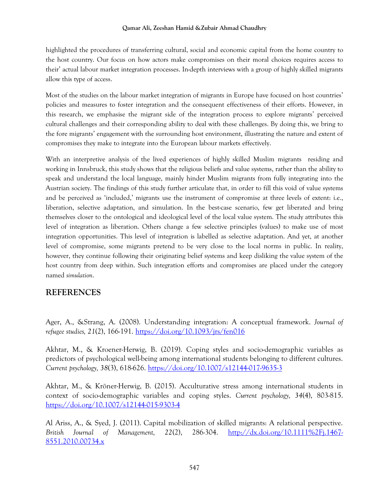highlighted the procedures of transferring cultural, social and economic capital from the home country to the host country. Our focus on how actors make compromises on their moral choices requires access to their' actual labour market integration processes. In-depth interviews with a group of highly skilled migrants allow this type of access.

Most of the studies on the labour market integration of migrants in Europe have focused on host countries' policies and measures to foster integration and the consequent effectiveness of their efforts. However, in this research, we emphasise the migrant side of the integration process to explore migrants' perceived cultural challenges and their corresponding ability to deal with these challenges. By doing this, we bring to the fore migrants' engagement with the surrounding host environment, illustrating the nature and extent of compromises they make to integrate into the European labour markets effectively.

With an interpretive analysis of the lived experiences of highly skilled Muslim migrants residing and working in Innsbruck, this study shows that the religious beliefs and value systems, rather than the ability to speak and understand the local language, mainly hinder Muslim migrants from fully integrating into the Austrian society. The findings of this study further articulate that, in order to fill this void of value systems and be perceived as 'included,' migrants use the instrument of compromise at three levels of extent: i.e., liberation, selective adaptation, and simulation. In the best-case scenario, few get liberated and bring themselves closer to the ontological and ideological level of the local value system. The study attributes this level of integration as liberation. Others change a few selective principles (values) to make use of most integration opportunities. This level of integration is labelled as selective adaptation. And yet, at another level of compromise, some migrants pretend to be very close to the local norms in public. In reality, however, they continue following their originating belief systems and keep disliking the value system of the host country from deep within. Such integration efforts and compromises are placed under the category named *simulation*.

## **REFERENCES**

Ager, A., &Strang, A. (2008). Understanding integration: A conceptual framework. *Journal of refugee studies, 21*(2), 166-191.<https://doi.org/10.1093/jrs/fen016>

Akhtar, M., & Kroener-Herwig, B. (2019). Coping styles and socio-demographic variables as predictors of psychological well-being among international students belonging to different cultures. *Current psychology, 38*(3), 618-626.<https://doi.org/10.1007/s12144-017-9635-3>

Akhtar, M., & Kröner-Herwig, B. (2015). Acculturative stress among international students in context of socio-demographic variables and coping styles. *Current psychology, 34*(4), 803-815. <https://doi.org/10.1007/s12144-015-9303-4>

Al Ariss, A., & Syed, J. (2011). Capital mobilization of skilled migrants: A relational perspective. *British Journal of Management, 22*(2), 286-304. [http://dx.doi.org/10.1111%2Fj.1467-](http://dx.doi.org/10.1111%2Fj.1467-8551.2010.00734.x) [8551.2010.00734.x](http://dx.doi.org/10.1111%2Fj.1467-8551.2010.00734.x)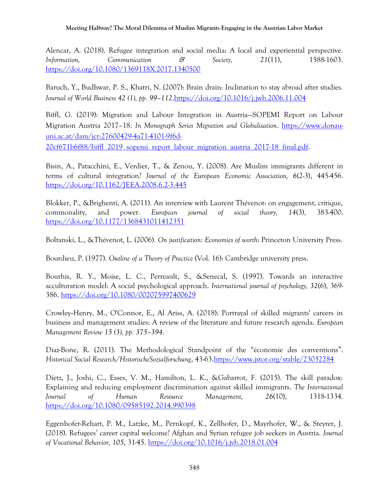Alencar, A. (2018). Refugee integration and social media: A local and experiential perspective. *Information, Communication & Society, 21*(11), 1588-1603. <https://doi.org/10.1080/1369118X.2017.1340500>

Baruch, Y., Budhwar, P. S., Khatri, N. (2007): Brain drain: Inclination to stay abroad after studies. *Journal of World Business 42 (1), pp. 99–112*[.https://doi.org/10.1016/j.jwb.2006.11.004](https://doi.org/10.1016/j.jwb.2006.11.004)

Biffl, G. (2019): Migration and Labour Integration in Austria—SOPEMI Report on Labour Migration Austria 2017–18. *In Monograph Series Migration and Globalisation*. [https://www.donau](https://www.donau-uni.ac.at/dam/jcr:27600429-4a71-4101-9f6d-20cf671b6f88/biffl_2019_sopemi_report_labour_migration_austria_2017-18_final.pdf)[uni.ac.at/dam/jcr:27600429-4a71-4101-9f6d-](https://www.donau-uni.ac.at/dam/jcr:27600429-4a71-4101-9f6d-20cf671b6f88/biffl_2019_sopemi_report_labour_migration_austria_2017-18_final.pdf)[20cf671b6f88/biffl\\_2019\\_sopemi\\_report\\_labour\\_migration\\_austria\\_2017-18\\_final.pdf.](https://www.donau-uni.ac.at/dam/jcr:27600429-4a71-4101-9f6d-20cf671b6f88/biffl_2019_sopemi_report_labour_migration_austria_2017-18_final.pdf)

Bisin, A., Patacchini, E., Verdier, T., & Zenou, Y. (2008). Are Muslim immigrants different in terms of cultural integration? *Journal of the European Economic Association, 6*(2-3), 445-456. <https://doi.org/10.1162/JEEA.2008.6.2-3.445>

Blokker, P., &Brighenti, A. (2011). An interview with Laurent Thévenot: on engagement, critique, commonality, and power. *European journal of social theory, 14*(3), 383-400. <https://doi.org/10.1177/1368431011412351>

Boltanski, L., &Thévenot, L. (2006). *On justification: Economies of worth*: Princeton University Press.

Bourdieu, P. (1977). *Outline of a Theory of Practice* (Vol. 16): Cambridge university press.

Bourhis, R. Y., Moise, L. C., Perreault, S., &Senecal, S. (1997). Towards an interactive acculturation model: A social psychological approach. *International journal of psychology, 32*(6), 369- 386.<https://doi.org/10.1080/002075997400629>

Crowley‐Henry, M., O'Connor, E., Al Ariss, A. (2018): Portrayal of skilled migrants' careers in business and management studies: A review of the literature and future research agenda. *European Management Review 15 (3), pp. 375–394*.

Diaz-Bone, R. (2011). The Methodological Standpoint of the "économie des conventions". *Historical Social Research/HistorischeSozialforschung*, 43-63[.https://www.jstor.org/stable/23032284](https://www.jstor.org/stable/23032284)

Dietz, J., Joshi, C., Esses, V. M., Hamilton, L. K., &Gabarrot, F. (2015). The skill paradox: Explaining and reducing employment discrimination against skilled immigrants. *The International Journal of Human Resource Management, 26*(10), 1318-1334. <https://doi.org/10.1080/09585192.2014.990398>

Eggenhofer-Rehart, P. M., Latzke, M., Pernkopf, K., Zellhofer, D., Mayrhofer, W., & Steyrer, J. (2018). Refugees' career capital welcome? Afghan and Syrian refugee job seekers in Austria. *Journal of Vocational Behavior, 105*, 31-45.<https://doi.org/10.1016/j.jvb.2018.01.004>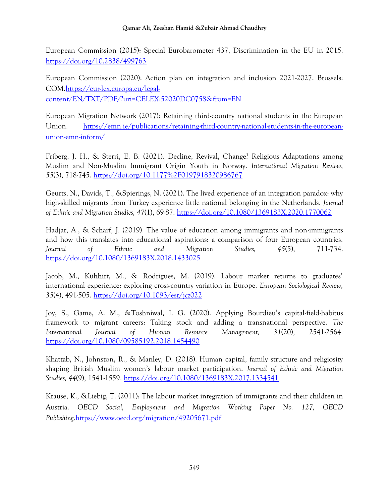European Commission (2015): Special Eurobarometer 437, Discrimination in the EU in 2015. <https://doi.org/10.2838/499763>

European Commission (2020): Action plan on integration and inclusion 2021-2027. Brussels: COM[.https://eur-lex.europa.eu/legal](https://eur-lex.europa.eu/legal-content/EN/TXT/PDF/?uri=CELEX:52020DC0758&from=EN)[content/EN/TXT/PDF/?uri=CELEX:52020DC0758&from=EN](https://eur-lex.europa.eu/legal-content/EN/TXT/PDF/?uri=CELEX:52020DC0758&from=EN)

European Migration Network (2017): Retaining third-country national students in the European Union. [https://emn.ie/publications/retaining-third-country-national-students-in-the-european](https://emn.ie/publications/retaining-third-country-national-students-in-the-european-union-emn-inform/)[union-emn-inform/](https://emn.ie/publications/retaining-third-country-national-students-in-the-european-union-emn-inform/)

Friberg, J. H., & Sterri, E. B. (2021). Decline, Revival, Change? Religious Adaptations among Muslim and Non-Muslim Immigrant Origin Youth in Norway. *International Migration Review*, *55*(3), 718-745.<https://doi.org/10.1177%2F0197918320986767>

Geurts, N., Davids, T., &Spierings, N. (2021). The lived experience of an integration paradox: why high-skilled migrants from Turkey experience little national belonging in the Netherlands. *Journal of Ethnic and Migration Studies, 47*(1), 69-87.<https://doi.org/10.1080/1369183X.2020.1770062>

Hadjar, A., & Scharf, J. (2019). The value of education among immigrants and non-immigrants and how this translates into educational aspirations: a comparison of four European countries. *Journal of Ethnic and Migration Studies, 45*(5), 711-734. <https://doi.org/10.1080/1369183X.2018.1433025>

Jacob, M., Kühhirt, M., & Rodrigues, M. (2019). Labour market returns to graduates' international experience: exploring cross-country variation in Europe. *European Sociological Review, 35*(4), 491-505.<https://doi.org/10.1093/esr/jcz022>

Joy, S., Game, A. M., &Toshniwal, I. G. (2020). Applying Bourdieu's capital-field-habitus framework to migrant careers: Taking stock and adding a transnational perspective. *The International Journal of Human Resource Management, 31*(20), 2541-2564. <https://doi.org/10.1080/09585192.2018.1454490>

Khattab, N., Johnston, R., & Manley, D. (2018). Human capital, family structure and religiosity shaping British Muslim women's labour market participation. *Journal of Ethnic and Migration Studies, 44*(9), 1541-1559.<https://doi.org/10.1080/1369183X.2017.1334541>

Krause, K., &Liebig, T. (2011): The labour market integration of immigrants and their children in Austria. *OECD Social, Employment and Migration Working Paper No. 127, OECD Publishing*[.https://www.oecd.org/migration/49205671.pdf](https://www.oecd.org/migration/49205671.pdf)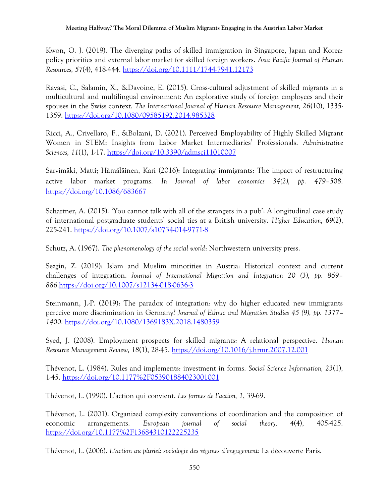Kwon, O. J. (2019). The diverging paths of skilled immigration in Singapore, Japan and Korea: policy priorities and external labor market for skilled foreign workers. *Asia Pacific Journal of Human Resources, 57*(4), 418-444.<https://doi.org/10.1111/1744-7941.12173>

Ravasi, C., Salamin, X., &Davoine, E. (2015). Cross-cultural adjustment of skilled migrants in a multicultural and multilingual environment: An explorative study of foreign employees and their spouses in the Swiss context. *The International Journal of Human Resource Management, 26*(10), 1335- 1359.<https://doi.org/10.1080/09585192.2014.985328>

Ricci, A., Crivellaro, F., &Bolzani, D. (2021). Perceived Employability of Highly Skilled Migrant Women in STEM: Insights from Labor Market Intermediaries' Professionals. *Administrative Sciences, 11*(1), 1-17.<https://doi.org/10.3390/admsci11010007>

Sarvimäki, Matti; Hämäläinen, Kari (2016): Integrating immigrants: The impact of restructuring active labor market programs. *In Journal of labor economics 34(2), pp. 479–508*. <https://doi.org/10.1086/683667>

Schartner, A. (2015). 'You cannot talk with all of the strangers in a pub': A longitudinal case study of international postgraduate students' social ties at a British university. *Higher Education, 69*(2), 225-241.<https://doi.org/10.1007/s10734-014-9771-8>

Schutz, A. (1967). *The phenomenology of the social world*: Northwestern university press.

Sezgin, Z. (2019): Islam and Muslim minorities in Austria: Historical context and current challenges of integration. *Journal of International Migration and Integration 20 (3), pp. 869– 886*[.https://doi.org/10.1007/s12134-018-0636-3](https://doi.org/10.1007/s12134-018-0636-3)

Steinmann, J.-P. (2019): The paradox of integration: why do higher educated new immigrants perceive more discrimination in Germany? *Journal of Ethnic and Migration Studies 45 (9), pp. 1377– 1400*.<https://doi.org/10.1080/1369183X.2018.1480359>

Syed, J. (2008). Employment prospects for skilled migrants: A relational perspective. *Human Resource Management Review, 18*(1), 28-45.<https://doi.org/10.1016/j.hrmr.2007.12.001>

Thévenot, L. (1984). Rules and implements: investment in forms. *Social Science Information, 23*(1), 1-45.<https://doi.org/10.1177%2F053901884023001001>

Thévenot, L. (1990). L'action qui convient. *Les formes de l'action, 1*, 39-69.

Thévenot, L. (2001). Organized complexity conventions of coordination and the composition of economic arrangements. *European journal of social theory, 4*(4), 405-425. <https://doi.org/10.1177%2F13684310122225235>

Thévenot, L. (2006). *L'action au pluriel: sociologie des régimes d'engagement*: La découverte Paris.